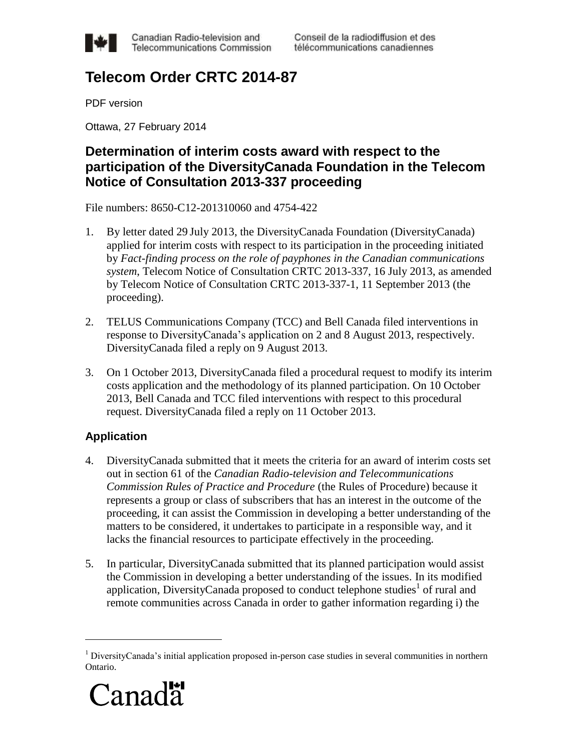

Canadian Radio-television and Telecommunications Commission Conseil de la radiodiffusion et des télécommunications canadiennes

# **Telecom Order CRTC 2014-87**

PDF version

Ottawa, 27 February 2014

## **Determination of interim costs award with respect to the participation of the DiversityCanada Foundation in the Telecom Notice of Consultation 2013-337 proceeding**

File numbers: 8650-C12-201310060 and 4754-422

- 1. By letter dated 29 July 2013, the DiversityCanada Foundation (DiversityCanada) applied for interim costs with respect to its participation in the proceeding initiated by *Fact-finding process on the role of payphones in the Canadian communications system*, Telecom Notice of Consultation CRTC 2013-337, 16 July 2013, as amended by Telecom Notice of Consultation CRTC 2013-337-1, 11 September 2013 (the proceeding).
- 2. TELUS Communications Company (TCC) and Bell Canada filed interventions in response to DiversityCanada's application on 2 and 8 August 2013, respectively. DiversityCanada filed a reply on 9 August 2013.
- 3. On 1 October 2013, DiversityCanada filed a procedural request to modify its interim costs application and the methodology of its planned participation. On 10 October 2013, Bell Canada and TCC filed interventions with respect to this procedural request. DiversityCanada filed a reply on 11 October 2013.

### **Application**

- 4. DiversityCanada submitted that it meets the criteria for an award of interim costs set out in section 61 of the *Canadian Radio-television and Telecommunications Commission Rules of Practice and Procedure* (the Rules of Procedure) because it represents a group or class of subscribers that has an interest in the outcome of the proceeding, it can assist the Commission in developing a better understanding of the matters to be considered, it undertakes to participate in a responsible way, and it lacks the financial resources to participate effectively in the proceeding.
- 5. In particular, DiversityCanada submitted that its planned participation would assist the Commission in developing a better understanding of the issues. In its modified application, DiversityCanada proposed to conduct telephone studies<sup>1</sup> of rural and remote communities across Canada in order to gather information regarding i) the

<sup>&</sup>lt;sup>1</sup> DiversityCanada's initial application proposed in-person case studies in several communities in northern Ontario.



 $\overline{a}$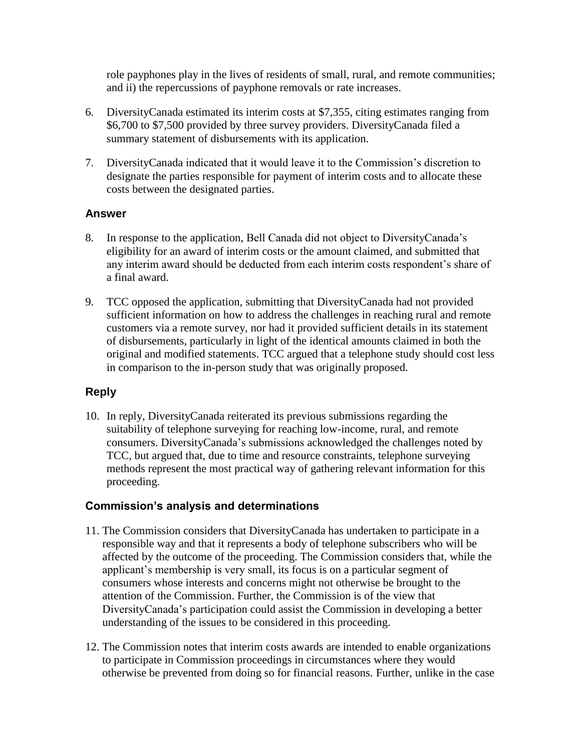role payphones play in the lives of residents of small, rural, and remote communities; and ii) the repercussions of payphone removals or rate increases.

- 6. DiversityCanada estimated its interim costs at \$7,355, citing estimates ranging from \$6,700 to \$7,500 provided by three survey providers. DiversityCanada filed a summary statement of disbursements with its application.
- 7. DiversityCanada indicated that it would leave it to the Commission's discretion to designate the parties responsible for payment of interim costs and to allocate these costs between the designated parties.

#### **Answer**

- 8. In response to the application, Bell Canada did not object to DiversityCanada's eligibility for an award of interim costs or the amount claimed, and submitted that any interim award should be deducted from each interim costs respondent's share of a final award.
- 9. TCC opposed the application, submitting that DiversityCanada had not provided sufficient information on how to address the challenges in reaching rural and remote customers via a remote survey, nor had it provided sufficient details in its statement of disbursements, particularly in light of the identical amounts claimed in both the original and modified statements. TCC argued that a telephone study should cost less in comparison to the in-person study that was originally proposed.

#### **Reply**

10. In reply, DiversityCanada reiterated its previous submissions regarding the suitability of telephone surveying for reaching low-income, rural, and remote consumers. DiversityCanada's submissions acknowledged the challenges noted by TCC, but argued that, due to time and resource constraints, telephone surveying methods represent the most practical way of gathering relevant information for this proceeding.

#### **Commission's analysis and determinations**

- 11. The Commission considers that DiversityCanada has undertaken to participate in a responsible way and that it represents a body of telephone subscribers who will be affected by the outcome of the proceeding. The Commission considers that, while the applicant's membership is very small, its focus is on a particular segment of consumers whose interests and concerns might not otherwise be brought to the attention of the Commission. Further, the Commission is of the view that DiversityCanada's participation could assist the Commission in developing a better understanding of the issues to be considered in this proceeding.
- 12. The Commission notes that interim costs awards are intended to enable organizations to participate in Commission proceedings in circumstances where they would otherwise be prevented from doing so for financial reasons. Further, unlike in the case